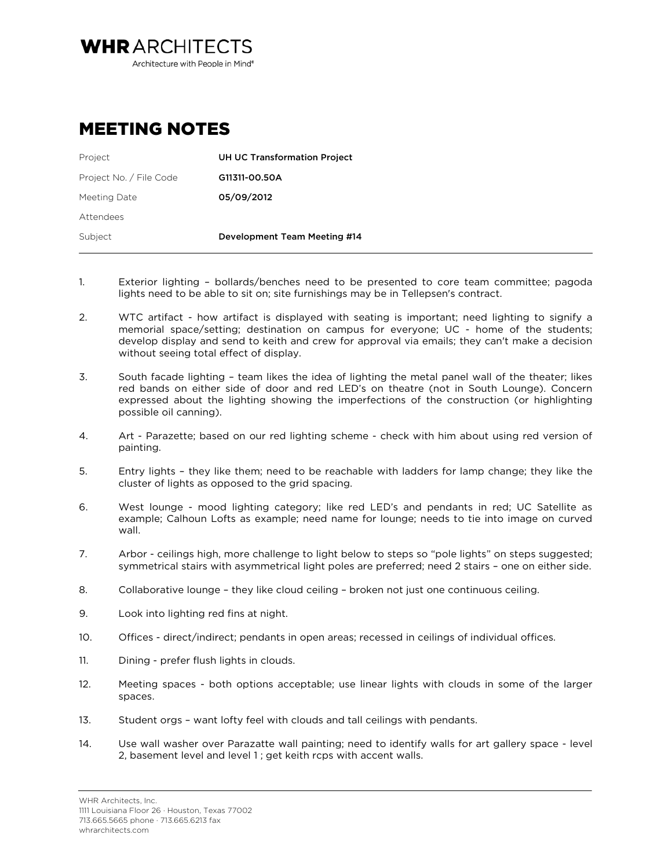Architecture with People in Mind<sup>®</sup>

## MEETING NOTES

**WHRARCHITECTS** 

| Project                 | <b>UH UC Transformation Project</b> |  |
|-------------------------|-------------------------------------|--|
| Project No. / File Code | G11311-00.50A                       |  |
| Meeting Date            | 05/09/2012                          |  |
| Attendees               |                                     |  |
| Subject                 | Development Team Meeting #14        |  |
|                         |                                     |  |

- 1. Exterior lighting bollards/benches need to be presented to core team committee; pagoda lights need to be able to sit on; site furnishings may be in Tellepsen's contract.
- 2. WTC artifact how artifact is displayed with seating is important; need lighting to signify a memorial space/setting; destination on campus for everyone; UC - home of the students; develop display and send to keith and crew for approval via emails; they can't make a decision without seeing total effect of display.
- 3. South facade lighting team likes the idea of lighting the metal panel wall of the theater; likes red bands on either side of door and red LED's on theatre (not in South Lounge). Concern expressed about the lighting showing the imperfections of the construction (or highlighting possible oil canning).
- 4. Art Parazette; based on our red lighting scheme check with him about using red version of painting.
- 5. Entry lights they like them; need to be reachable with ladders for lamp change; they like the cluster of lights as opposed to the grid spacing.
- 6. West lounge mood lighting category; like red LED's and pendants in red; UC Satellite as example; Calhoun Lofts as example; need name for lounge; needs to tie into image on curved wall.
- 7. Arbor ceilings high, more challenge to light below to steps so "pole lights" on steps suggested; symmetrical stairs with asymmetrical light poles are preferred; need 2 stairs – one on either side.
- 8. Collaborative lounge they like cloud ceiling broken not just one continuous ceiling.
- 9. Look into lighting red fins at night.
- 10. Offices direct/indirect; pendants in open areas; recessed in ceilings of individual offices.
- 11. Dining prefer flush lights in clouds.
- 12. Meeting spaces both options acceptable; use linear lights with clouds in some of the larger spaces.
- 13. Student orgs want lofty feel with clouds and tall ceilings with pendants.
- 14. Use wall washer over Parazatte wall painting; need to identify walls for art gallery space level 2, basement level and level 1 ; get keith rcps with accent walls.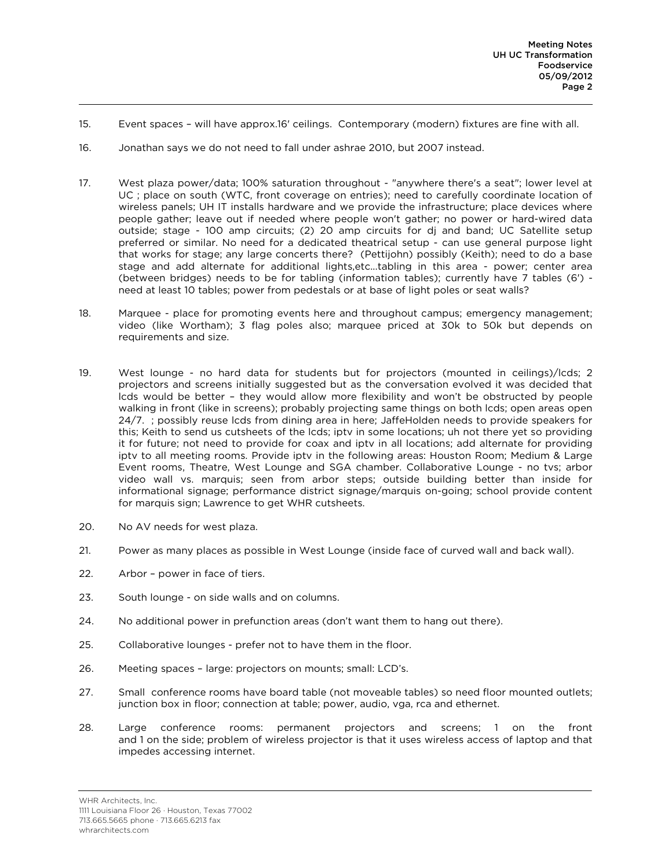- 15. Event spaces will have approx.16' ceilings. Contemporary (modern) fixtures are fine with all.
- 16. Jonathan says we do not need to fall under ashrae 2010, but 2007 instead.
- 17. West plaza power/data; 100% saturation throughout "anywhere there's a seat"; lower level at UC ; place on south (WTC, front coverage on entries); need to carefully coordinate location of wireless panels; UH IT installs hardware and we provide the infrastructure; place devices where people gather; leave out if needed where people won't gather; no power or hard-wired data outside; stage - 100 amp circuits; (2) 20 amp circuits for dj and band; UC Satellite setup preferred or similar. No need for a dedicated theatrical setup - can use general purpose light that works for stage; any large concerts there? (Pettijohn) possibly (Keith); need to do a base stage and add alternate for additional lights,etc...tabling in this area - power; center area (between bridges) needs to be for tabling (information tables); currently have 7 tables (6') need at least 10 tables; power from pedestals or at base of light poles or seat walls?
- 18. Marquee place for promoting events here and throughout campus; emergency management; video (like Wortham); 3 flag poles also; marquee priced at 30k to 50k but depends on requirements and size.
- 19. West lounge no hard data for students but for projectors (mounted in ceilings)/lcds; 2 projectors and screens initially suggested but as the conversation evolved it was decided that lcds would be better – they would allow more flexibility and won't be obstructed by people walking in front (like in screens); probably projecting same things on both lcds; open areas open 24/7. ; possibly reuse lcds from dining area in here; JaffeHolden needs to provide speakers for this; Keith to send us cutsheets of the lcds; iptv in some locations; uh not there yet so providing it for future; not need to provide for coax and iptv in all locations; add alternate for providing iptv to all meeting rooms. Provide iptv in the following areas: Houston Room; Medium & Large Event rooms, Theatre, West Lounge and SGA chamber. Collaborative Lounge - no tvs; arbor video wall vs. marquis; seen from arbor steps; outside building better than inside for informational signage; performance district signage/marquis on-going; school provide content for marquis sign; Lawrence to get WHR cutsheets.
- 20. No AV needs for west plaza.
- 21. Power as many places as possible in West Lounge (inside face of curved wall and back wall).
- 22. Arbor power in face of tiers.
- 23. South lounge on side walls and on columns.
- 24. No additional power in prefunction areas (don't want them to hang out there).
- 25. Collaborative lounges prefer not to have them in the floor.
- 26. Meeting spaces large: projectors on mounts; small: LCD's.
- 27. Small conference rooms have board table (not moveable tables) so need floor mounted outlets; junction box in floor; connection at table; power, audio, vga, rca and ethernet.
- 28. Large conference rooms: permanent projectors and screens; 1 on the front and 1 on the side; problem of wireless projector is that it uses wireless access of laptop and that impedes accessing internet.